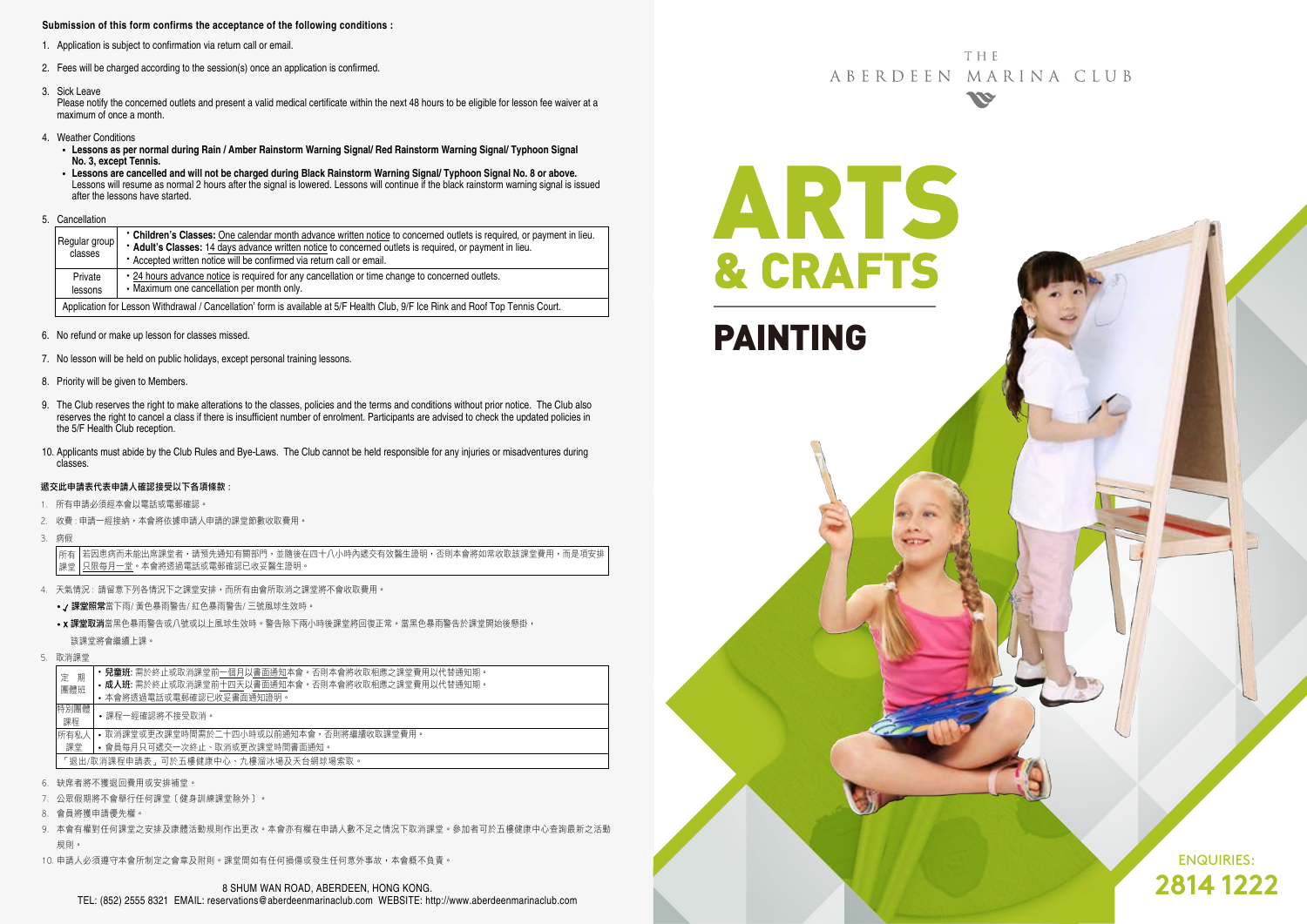### **Submission of this form confirms the acceptance of the following conditions :**

- 1. Application is subject to confirmation via return call or email.
- 2. Fees will be charged according to the session(s) once an application is confirmed.
- 3. Sick Leave

Please notify the concerned outlets and present a valid medical certificate within the next 48 hours to be eligible for lesson fee waiver at a maximum of once a month.

- 4. Weather Conditions
	- **Lessons as per normal during Rain / Amber Rainstorm Warning Signal/ Red Rainstorm Warning Signal/ Typhoon Signal No. 3, except Tennis.**
- Lessons are cancelled and will not be charged during Black Rainstorm Warning Signal/ Typhoon Signal No. 8 or above.<br>Lessons will resume as normal 2 hours after the signal is lowered. Lessons will continue if the black ra after the lessons have started.
- 5. Cancellation

|  | Regular group<br>classes                                                                                                        | • Children's Classes: One calendar month advance written notice to concerned outlets is required, or payment in lieu.<br>* Adult's Classes: 14 days advance written notice to concerned outlets is required, or payment in lieu.<br>* Accepted written notice will be confirmed via return call or email. |  |  |  |  |  |
|--|---------------------------------------------------------------------------------------------------------------------------------|-----------------------------------------------------------------------------------------------------------------------------------------------------------------------------------------------------------------------------------------------------------------------------------------------------------|--|--|--|--|--|
|  | Private<br>lessons                                                                                                              | • 24 hours advance notice is required for any cancellation or time change to concerned outlets.<br>• Maximum one cancellation per month only.                                                                                                                                                             |  |  |  |  |  |
|  | Application for Lesson Withdrawal / Cancellation' form is available at 5/F Health Club, 9/F Ice Rink and Roof Top Tennis Court. |                                                                                                                                                                                                                                                                                                           |  |  |  |  |  |

- 6. No refund or make up lesson for classes missed.
- 7. No lesson will be held on public holidays, except personal training lessons.
- 8. Priority will be given to Members.
- 9. The Club reserves the right to make alterations to the classes, policies and the terms and conditions without prior notice. The Club also reserves the right to cancel a class if there is insufficient number of enrolment. Participants are advised to check the updated policies in the 5/F Health Club reception.
- 10. Applicants must abide by the Club Rules and Bye-Laws. The Club cannot be held responsible for any injuries or misadventures during classes.

#### 遞交此申請表代表申請人確認接受以下各項條款 :

- 1. 所有申請必須經本會以電話或電郵確認。
- 2. 收費 : 申請一經接納,本會將依據申請人申請的課堂節數收取費用。
- 3. 病假

若因患病而未能出席課堂者,請預先通知有關部門,並隨後在四十八小時內遞交有效醫生證明,否則本會將如常收取該課堂費用,而是項安排 只限每月一堂。本會將透過電話或電郵確認已收妥醫生證明。 所有 課堂

- 4. 天氣情況 : 請留意下列各情況下之課堂安排,而所有由會所取消之課堂將不會收取費用。
	- / 課堂照常當下雨/ 黃色暴雨警告/ 紅色暴雨警告/ 三號風球生效時。
	- x 課堂取消當黑色暴雨警告或八號或以上風球生效時。警告除下兩小時後課堂將回復正常。當黑色暴雨警告於課堂開始後懸掛, 該課堂將會繼續上課。
- 5. 取消課堂

|  | 期<br>定                              | • 兒童班: 需於終止或取消課堂前一個月以書面通知本會。否則本會將收取相應之課堂費用以代替通知期。 |  |  |  |  |  |
|--|-------------------------------------|---------------------------------------------------|--|--|--|--|--|
|  | 團體班                                 | • 成人班: 需於終止或取消課堂前十四天以書面通知本會。否則本會將收取相應之課堂費用以代替通知期。 |  |  |  |  |  |
|  |                                     | • 本會將透過電話或電郵確認已收妥書面通知證明。                          |  |  |  |  |  |
|  | 特別團體<br>課程                          | •課程一經確認將不接受取消。                                    |  |  |  |  |  |
|  | 所有私人                                | • 取消課堂或更改課堂時間需於二十四小時或以前通知本會,否則將繼續收取課堂費用。          |  |  |  |  |  |
|  | 課堂                                  | • 會員每月只可遞交一次終止、取消或更改課堂時間書面通知。                     |  |  |  |  |  |
|  | 「狠出/取消課程申請表,可於五樓健康中心、九樓溜冰場及天台網球場索取。 |                                                   |  |  |  |  |  |
|  |                                     |                                                   |  |  |  |  |  |

- 6. 缺席者將不獲退回費用或安排補堂。
- 7. 公眾假期將不會舉行任何課堂﹝健身訓練課堂除外﹞。
- 8. 會員將獲申請優先權。
- 9. 本會有權對任何課堂之安排及康體活動規則作出更改。本會亦有權在申請人數不足之情況下取消課堂。參加者可於五樓健康中心查詢最新之活動 規則。
- 10. 申請人必須遵守本會所制定之會章及附則。課堂間如有任何損傷或發生任何意外事故,本會概不負責。

**THF** ABERDEEN MARINA CLUB **SSE** 

ARTS

CRAFT

PAINTING